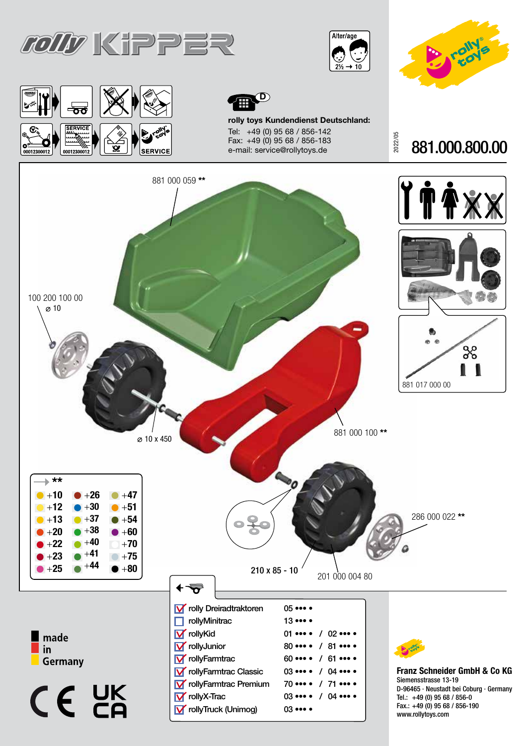









rolly toys Kundendienst Deutschland: Tel: +49 (0) 95 68 / 856-142 Fax: +49 (0) 95 68 / 856-183 e-mail: service@rollytoys.de